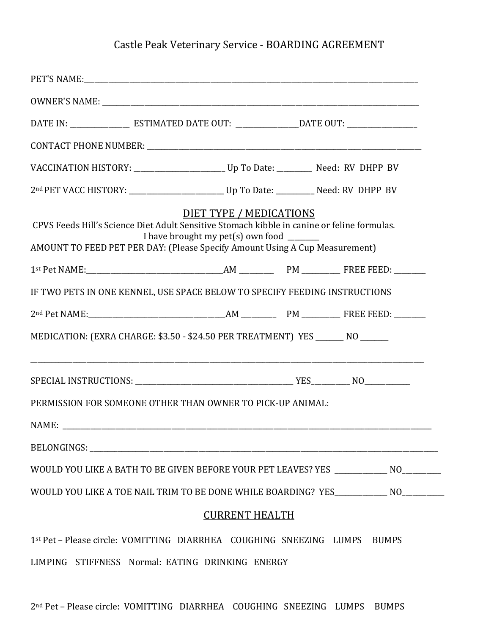## Castle Peak Veterinary Service - BOARDING AGREEMENT

| CPVS Feeds Hill's Science Diet Adult Sensitive Stomach kibble in canine or feline formulas.<br>AMOUNT TO FEED PET PER DAY: (Please Specify Amount Using A Cup Measurement) | I have brought my pet(s) own food $\frac{ }{ }$ | <b>DIET TYPE / MEDICATIONS</b> |  |  |              |  |
|----------------------------------------------------------------------------------------------------------------------------------------------------------------------------|-------------------------------------------------|--------------------------------|--|--|--------------|--|
|                                                                                                                                                                            |                                                 |                                |  |  |              |  |
| IF TWO PETS IN ONE KENNEL, USE SPACE BELOW TO SPECIFY FEEDING INSTRUCTIONS                                                                                                 |                                                 |                                |  |  |              |  |
|                                                                                                                                                                            |                                                 |                                |  |  |              |  |
| MEDICATION: (EXRA CHARGE: \$3.50 - \$24.50 PER TREATMENT) YES ______ NO _______                                                                                            |                                                 |                                |  |  |              |  |
|                                                                                                                                                                            |                                                 |                                |  |  |              |  |
| PERMISSION FOR SOMEONE OTHER THAN OWNER TO PICK-UP ANIMAL.                                                                                                                 |                                                 |                                |  |  |              |  |
| NAME:                                                                                                                                                                      |                                                 |                                |  |  |              |  |
|                                                                                                                                                                            |                                                 |                                |  |  |              |  |
| WOULD YOU LIKE A BATH TO BE GIVEN BEFORE YOUR PET LEAVES? YES _______________ NO_________                                                                                  |                                                 |                                |  |  |              |  |
| WOULD YOU LIKE A TOE NAIL TRIM TO BE DONE WHILE BOARDING? YES____________ NO________                                                                                       |                                                 |                                |  |  |              |  |
|                                                                                                                                                                            |                                                 | <b>CURRENT HEALTH</b>          |  |  |              |  |
| 1st Pet – Please circle: VOMITTING DIARRHEA COUGHING SNEEZING LUMPS                                                                                                        |                                                 |                                |  |  | <b>BUMPS</b> |  |

LIMPING STIFFNESS Normal: EATING DRINKING ENERGY

2nd Pet – Please circle: VOMITTING DIARRHEA COUGHING SNEEZING LUMPS BUMPS